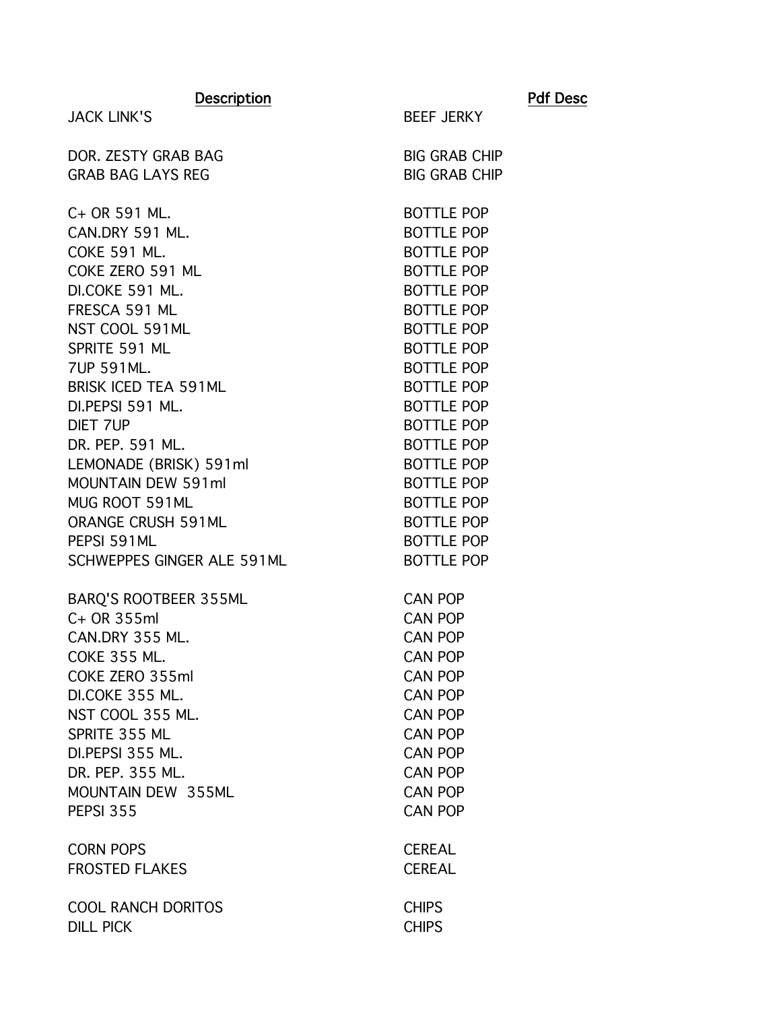| <b>Description</b>                  |                                        | <b>Pdf Desc</b> |
|-------------------------------------|----------------------------------------|-----------------|
| <b>JACK LINK'S</b>                  | <b>BEEF JERKY</b>                      |                 |
| DOR. ZESTY GRAB BAG                 | <b>BIG GRAB CHIP</b>                   |                 |
| <b>GRAB BAG LAYS REG</b>            | <b>BIG GRAB CHIP</b>                   |                 |
| C+ OR 591 ML.                       | <b>BOTTLE POP</b>                      |                 |
| CAN.DRY 591 ML.                     | <b>BOTTLE POP</b>                      |                 |
| <b>COKE 591 ML.</b>                 | <b>BOTTLE POP</b>                      |                 |
| COKE ZERO 591 ML                    | <b>BOTTLE POP</b>                      |                 |
| DI.COKE 591 ML.                     | <b>BOTTLE POP</b>                      |                 |
| FRESCA 591 ML                       | <b>BOTTLE POP</b>                      |                 |
| NST COOL 591ML                      | <b>BOTTLE POP</b>                      |                 |
| SPRITE 591 ML                       | <b>BOTTLE POP</b>                      |                 |
| 7UP 591ML.                          | <b>BOTTLE POP</b>                      |                 |
| BRISK ICED TEA 591ML                | <b>BOTTLE POP</b>                      |                 |
| DI.PEPSI 591 ML.<br><b>DIET 7UP</b> | <b>BOTTLE POP</b><br><b>BOTTLE POP</b> |                 |
| DR. PEP. 591 ML.                    | <b>BOTTLE POP</b>                      |                 |
| LEMONADE (BRISK) 591ml              | <b>BOTTLE POP</b>                      |                 |
| <b>MOUNTAIN DEW 591ml</b>           | <b>BOTTLE POP</b>                      |                 |
| MUG ROOT 591ML                      | <b>BOTTLE POP</b>                      |                 |
| <b>ORANGE CRUSH 591ML</b>           | <b>BOTTLE POP</b>                      |                 |
| PEPSI 591ML                         | <b>BOTTLE POP</b>                      |                 |
| SCHWEPPES GINGER ALE 591ML          | <b>BOTTLE POP</b>                      |                 |
| BARQ'S ROOTBEER 355ML               | <b>CAN POP</b>                         |                 |
| C+ OR 355ml                         | <b>CAN POP</b>                         |                 |
| CAN.DRY 355 ML.                     | <b>CAN POP</b>                         |                 |
| COKE 355 ML                         | <b>CAN POP</b>                         |                 |
| COKE ZERO 355ml                     | <b>CAN POP</b>                         |                 |
| DI.COKE 355 ML.                     | <b>CAN POP</b>                         |                 |
| NST COOL 355 ML.                    | <b>CAN POP</b>                         |                 |
| SPRITE 355 ML                       | <b>CAN POP</b>                         |                 |
| DI.PEPSI 355 ML.                    | <b>CAN POP</b>                         |                 |
| DR. PEP. 355 ML.                    | <b>CAN POP</b>                         |                 |
| MOUNTAIN DEW 355ML                  | <b>CAN POP</b>                         |                 |
| <b>PEPSI 355</b>                    | <b>CAN POP</b>                         |                 |
| <b>CORN POPS</b>                    | <b>CEREAL</b>                          |                 |
| <b>FROSTED FLAKES</b>               | <b>CEREAL</b>                          |                 |
| <b>COOL RANCH DORITOS</b>           | <b>CHIPS</b>                           |                 |
| <b>DILL PICK</b>                    | <b>CHIPS</b>                           |                 |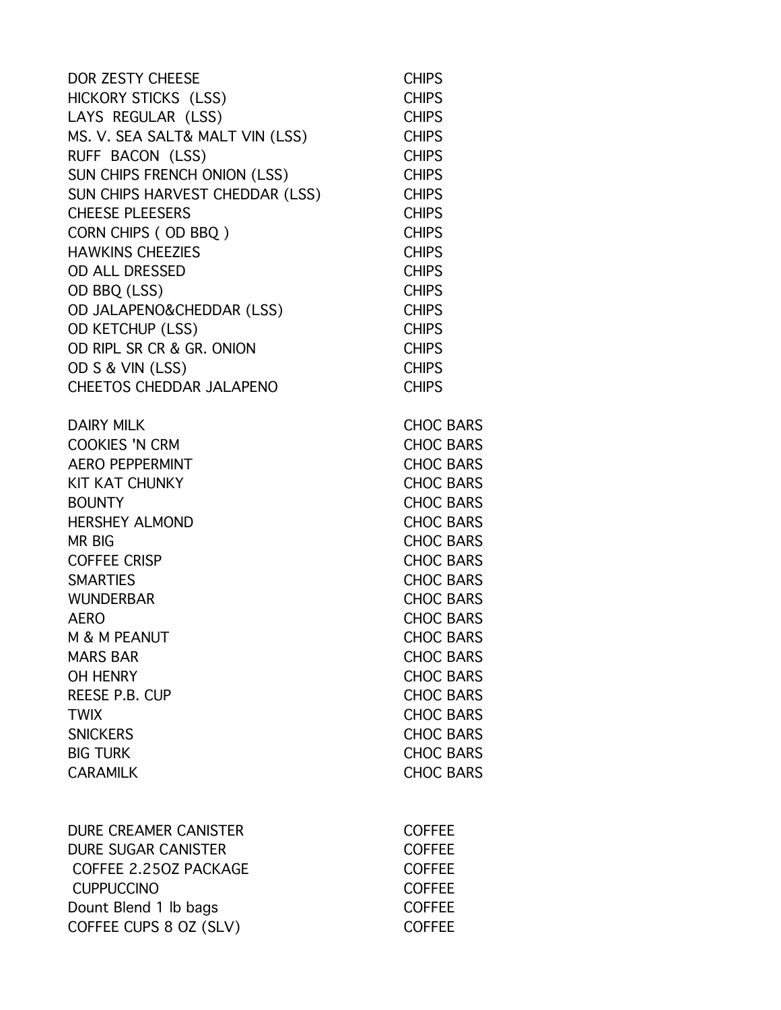| DOR ZESTY CHEESE                | <b>CHIPS</b>     |
|---------------------------------|------------------|
| HICKORY STICKS (LSS)            | <b>CHIPS</b>     |
| LAYS REGULAR (LSS)              | <b>CHIPS</b>     |
| MS. V. SEA SALT& MALT VIN (LSS) | <b>CHIPS</b>     |
| RUFF BACON (LSS)                | <b>CHIPS</b>     |
| SUN CHIPS FRENCH ONION (LSS)    | <b>CHIPS</b>     |
| SUN CHIPS HARVEST CHEDDAR (LSS) | <b>CHIPS</b>     |
| <b>CHEESE PLEESERS</b>          | <b>CHIPS</b>     |
| CORN CHIPS (OD BBQ)             | <b>CHIPS</b>     |
| <b>HAWKINS CHEEZIES</b>         | <b>CHIPS</b>     |
| <b>OD ALL DRESSED</b>           | <b>CHIPS</b>     |
| OD BBQ (LSS)                    | <b>CHIPS</b>     |
| OD JALAPENO&CHEDDAR (LSS)       | <b>CHIPS</b>     |
| <b>OD KETCHUP (LSS)</b>         | <b>CHIPS</b>     |
| OD RIPL SR CR & GR. ONION       | <b>CHIPS</b>     |
| OD S & VIN (LSS)                | <b>CHIPS</b>     |
| <b>CHEETOS CHEDDAR JALAPENO</b> | <b>CHIPS</b>     |
| <b>DAIRY MILK</b>               | <b>CHOC BARS</b> |
| <b>COOKIES 'N CRM</b>           | <b>CHOC BARS</b> |
| <b>AERO PEPPERMINT</b>          | <b>CHOC BARS</b> |
| <b>KIT KAT CHUNKY</b>           | <b>CHOC BARS</b> |
| <b>BOUNTY</b>                   | <b>CHOC BARS</b> |
| <b>HERSHEY ALMOND</b>           | <b>CHOC BARS</b> |
| <b>MR BIG</b>                   | <b>CHOC BARS</b> |
| <b>COFFEE CRISP</b>             | <b>CHOC BARS</b> |
| <b>SMARTIES</b>                 | <b>CHOC BARS</b> |
| <b>WUNDERBAR</b>                | <b>CHOC BARS</b> |
| <b>AERO</b>                     | <b>CHOC BARS</b> |
| M & M PEANUT                    | <b>CHOC BARS</b> |
| <b>MARS BAR</b>                 | <b>CHOC BARS</b> |
| OH HENRY                        | <b>CHOC BARS</b> |
| <b>REESE P.B. CUP</b>           | <b>CHOC BARS</b> |
| <b>TWIX</b>                     | <b>CHOC BARS</b> |
| <b>SNICKERS</b>                 | <b>CHOC BARS</b> |
| <b>BIG TURK</b>                 | <b>CHOC BARS</b> |
| <b>CARAMILK</b>                 | <b>CHOC BARS</b> |
| <b>DURE CREAMER CANISTER</b>    | <b>COFFEE</b>    |
| <b>DURE SUGAR CANISTER</b>      | <b>COFFEE</b>    |
| COFFEE 2.250Z PACKAGE           | <b>COFFEE</b>    |
| <b>CUPPUCCINO</b>               | <b>COFFEE</b>    |
|                                 |                  |
| Dount Blend 1 lb bags           | <b>COFFEE</b>    |
| COFFEE CUPS 8 OZ (SLV)          | <b>COFFEE</b>    |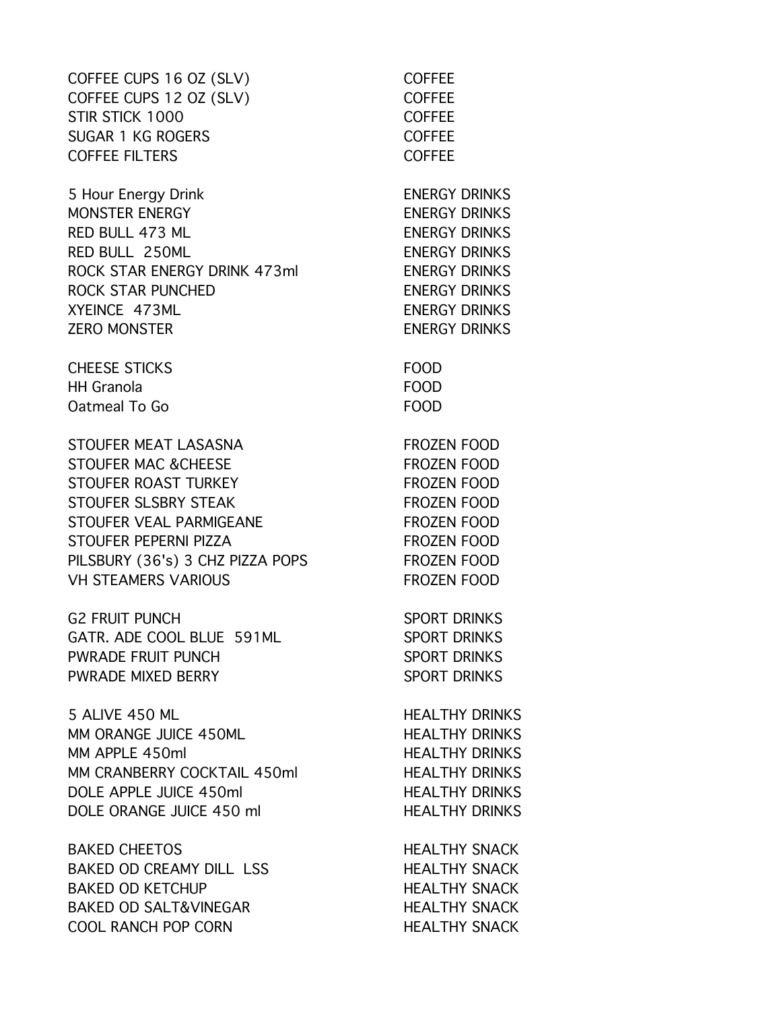COFFEE CUPS 16 OZ (SLV) COFFEE COFFEE CUPS 12 OZ (SLV) COFFEE STIR STICK 1000 COFFEE SUGAR 1 KG ROGERS COFFEE COFFEE FILTERS COFFEE

5 Hour Energy Drink **ENERGY DRINKS** MONSTER ENERGY NETWORKS RED BULL 473 ML RED BULL 250ML **ENERGY DRINKS** ROCK STAR ENERGY DRINK 473ml ENERGY DRINKS ROCK STAR PUNCHED ENERGY DRINKS XYEINCE 473ML **ENERGY DRINKS** ZERO MONSTER ENERGY DRINKS

CHEESE STICKS FOOD HH Granola FOOD Oatmeal To Go FOOD

STOUFER MEAT LASASNA FROZEN FOOD STOUFER MAC & CHEESE FROZEN FOOD STOUFER ROAST TURKEY FROZEN FOOD STOUFER SLSBRY STEAK FROZEN FOOD STOUFER VEAL PARMIGEANE FROZEN FOOD STOUFER PEPERNI PIZZA FROZEN FOOD PILSBURY (36's) 3 CHZ PIZZA POPS FROZEN FOOD VH STEAMERS VARIOUS FROZEN FOOD

G2 FRUIT PUNCH SPORT DRINKS GATR. ADE COOL BLUE 591ML SPORT DRINKS PWRADE FRUIT PUNCH SPORT DRINKS PWRADE MIXED BERRY SPORT DRINKS

5 ALIVE 450 ML HEALTHY DRINKS MM ORANGE JUICE 450ML HEALTHY DRINKS MM APPLE 450ml **HEALTHY DRINKS** MM CRANBERRY COCKTAIL 450ml HEALTHY DRINKS DOLE APPLE JUICE 450ml HEALTHY DRINKS DOLE ORANGE JUICE 450 ml

BAKED CHEETOS HEALTHY SNACK BAKED OD CREAMY DILL LSS HEALTHY SNACK BAKED OD KETCHUP HEALTHY SNACK BAKED OD SALT&VINEGAR HEALTHY SNACK COOL RANCH POP CORN HEALTHY SNACK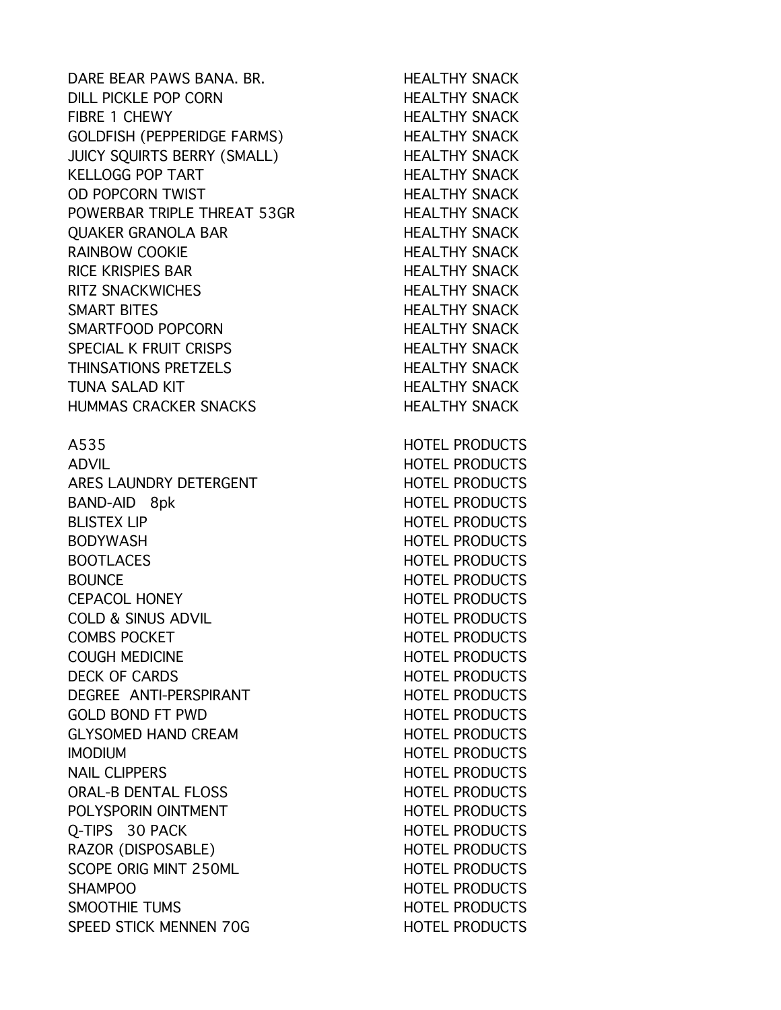DARE BEAR PAWS BANA. BR. HEALTHY SNACK DILL PICKLE POP CORN HEALTHY SNACK FIBRE 1 CHEWY HEALTHY SNACK GOLDFISH (PEPPERIDGE FARMS) HEALTHY SNACK JUICY SOUIRTS BERRY (SMALL) HEALTHY SNACK KELLOGG POP TART HEALTHY SNACK OD POPCORN TWIST NEED TO BE HEALTHY SNACK POWERBAR TRIPLE THREAT 53GR HEALTHY SNACK OUAKER GRANOLA BAR
HEALTHY SNACK RAINBOW COOKIE **HEALTHY SNACK** RICE KRISPIES BAR HEALTHY SNACK RITZ SNACKWICHES **HEALTHY SNACK** SMART BITES **HEALTHY SNACK** SMARTFOOD POPCORN HEALTHY SNACK SPECIAL K FRUIT CRISPS THEALTHY SNACK THINSATIONS PRETZELS HEALTHY SNACK TUNA SALAD KIT **HEALTHY SNACK** HUMMAS CRACKER SNACKS HEALTHY SNACK A535 HOTEL PRODUCTS ADVIL ADVIL AND A SUMMISSION CONTROLLER PRODUCTS ARES LAUNDRY DETERGENT HOTEL PRODUCTS BAND-AID 8pk HOTEL PRODUCTS BLISTEX LIP **HOTEL PRODUCTS** BODYWASH GERMANIA HOTEL PRODUCTS BOOTLACES HOTEL PRODUCTS BOUNCE **HOTEL PRODUCTS** CEPACOL HONEY **HOTEL PRODUCTS** COLD & SINUS ADVIL **Example 2018** HOTEL PRODUCTS COMBS POCKET THE RESERVE HOTEL PRODUCTS COUGH MEDICINE HOTEL PRODUCTS DECK OF CARDS **HOTEL PRODUCTS** DEGREE ANTI-PERSPIRANT HOTEL PRODUCTS GOLD BOND FT PWD HOTEL PRODUCTS GLYSOMED HAND CREAM **HOTEL PRODUCTS** IMODIUM HOTEL PRODUCTS NAIL CLIPPERS HOTEL PRODUCTS ORAL-B DENTAL FLOSS HOTEL PRODUCTS POLYSPORIN OINTMENT THE RESERVE HOTEL PRODUCTS O-TIPS 30 PACK HOTEL PRODUCTS RAZOR (DISPOSABLE) HOTEL PRODUCTS SCOPE ORIG MINT 250ML **HOTEL PRODUCTS** SHAMPOO **HOTEL PRODUCTS** SMOOTHIE TUMS **SMOOTHIE TUMS** SPEED STICK MENNEN 70G HOTEL PRODUCTS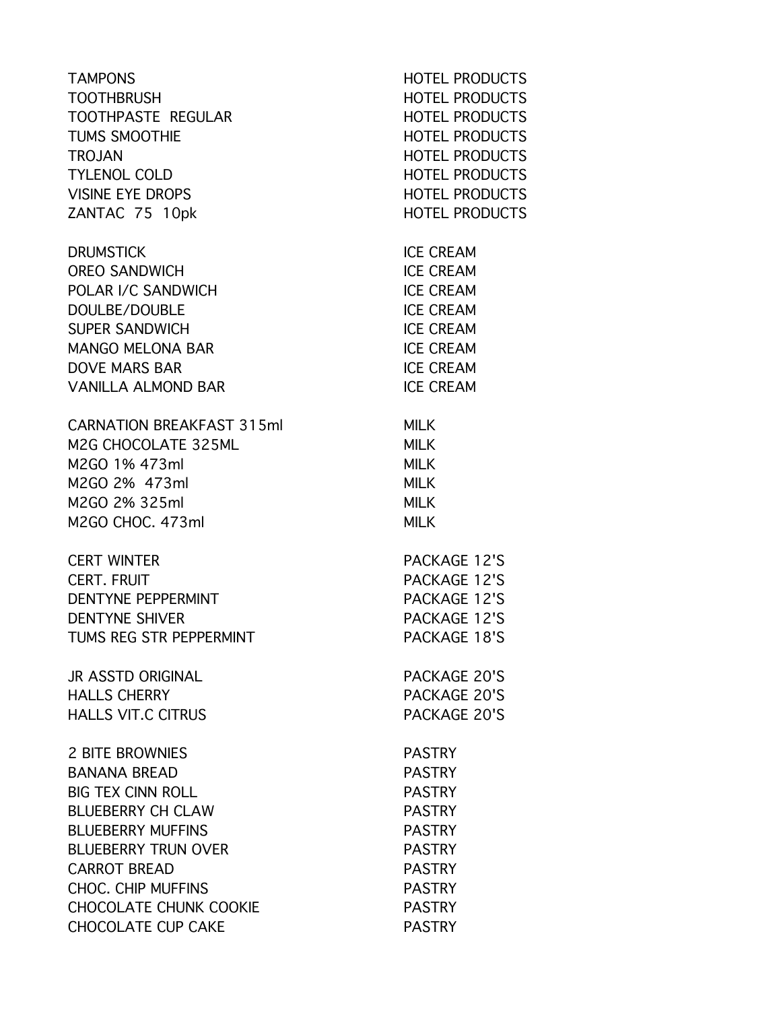| <b>TAMPONS</b>                   | <b>HOTEL PRODUCTS</b> |
|----------------------------------|-----------------------|
| <b>TOOTHBRUSH</b>                | <b>HOTEL PRODUCTS</b> |
| TOOTHPASTE REGULAR               | <b>HOTEL PRODUCTS</b> |
| <b>TUMS SMOOTHIE</b>             | <b>HOTEL PRODUCTS</b> |
| <b>TROJAN</b>                    | <b>HOTEL PRODUCTS</b> |
| <b>TYLENOL COLD</b>              | <b>HOTEL PRODUCTS</b> |
| <b>VISINE EYE DROPS</b>          | <b>HOTEL PRODUCTS</b> |
| ZANTAC 75 10pk                   | <b>HOTEL PRODUCTS</b> |
| <b>DRUMSTICK</b>                 | <b>ICE CREAM</b>      |
| <b>OREO SANDWICH</b>             | <b>ICE CREAM</b>      |
| POLAR I/C SANDWICH               | <b>ICE CREAM</b>      |
| DOULBE/DOUBLE                    | <b>ICE CREAM</b>      |
| <b>SUPER SANDWICH</b>            | <b>ICE CREAM</b>      |
| <b>MANGO MELONA BAR</b>          | <b>ICE CREAM</b>      |
| <b>DOVE MARS BAR</b>             | <b>ICE CREAM</b>      |
| <b>VANILLA ALMOND BAR</b>        | <b>ICE CREAM</b>      |
| <b>CARNATION BREAKFAST 315ml</b> | <b>MILK</b>           |
| M2G CHOCOLATE 325ML              | <b>MILK</b>           |
| M2GO 1% 473ml                    | <b>MILK</b>           |
| M2GO 2% 473ml                    | <b>MILK</b>           |
| M2GO 2% 325ml                    | <b>MILK</b>           |
| M2GO CHOC. 473ml                 | <b>MILK</b>           |
| <b>CERT WINTER</b>               | PACKAGE 12'S          |
| <b>CERT. FRUIT</b>               | PACKAGE 12'S          |
| DENTYNE PEPPERMINT               | <b>PACKAGE 12'S</b>   |
| <b>DENTYNE SHIVER</b>            | PACKAGE 12'S          |
| TUMS REG STR PEPPERMINT          | PACKAGE 18'S          |
| <b>JR ASSTD ORIGINAL</b>         | PACKAGE 20'S          |
| <b>HALLS CHERRY</b>              | PACKAGE 20'S          |
| <b>HALLS VIT.C CITRUS</b>        | PACKAGE 20'S          |
| <b>2 BITE BROWNIES</b>           | <b>PASTRY</b>         |
| <b>BANANA BREAD</b>              | <b>PASTRY</b>         |
| <b>BIG TEX CINN ROLL</b>         | <b>PASTRY</b>         |
| <b>BLUEBERRY CH CLAW</b>         | <b>PASTRY</b>         |
| <b>BLUEBERRY MUFFINS</b>         | <b>PASTRY</b>         |
| <b>BLUEBERRY TRUN OVER</b>       | <b>PASTRY</b>         |
| <b>CARROT BREAD</b>              | <b>PASTRY</b>         |
| <b>CHOC. CHIP MUFFINS</b>        | <b>PASTRY</b>         |
| <b>CHOCOLATE CHUNK COOKIE</b>    | <b>PASTRY</b>         |
| <b>CHOCOLATE CUP CAKE</b>        | <b>PASTRY</b>         |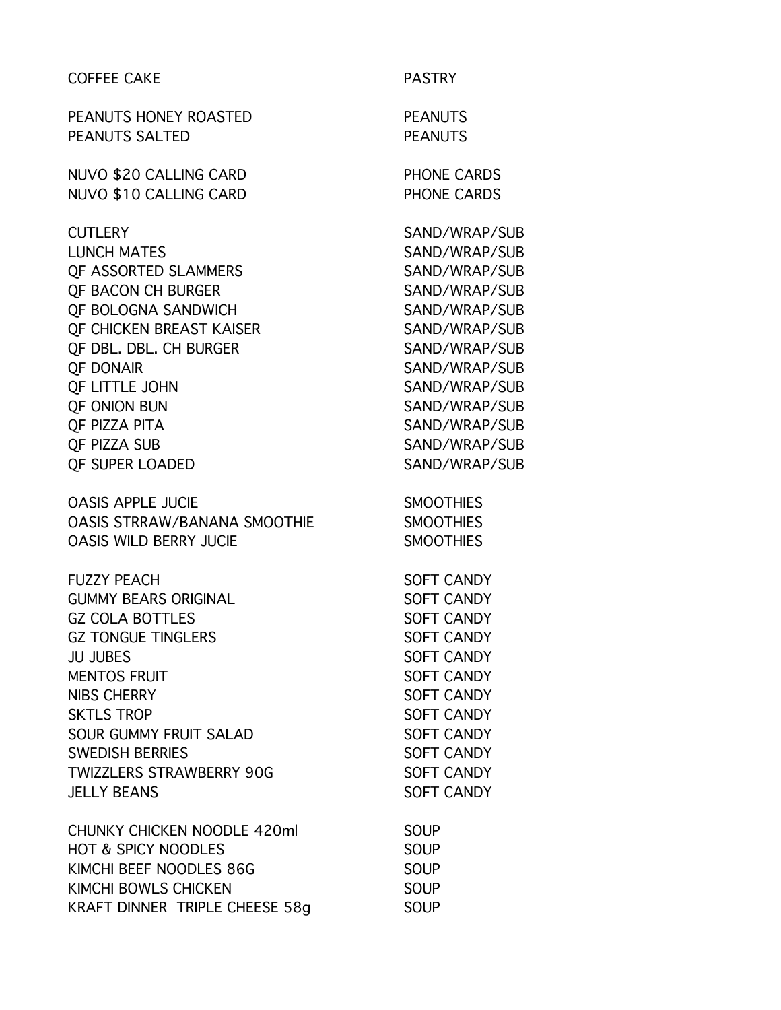| <b>COFFEE CAKE</b>                  | <b>PASTRY</b>      |
|-------------------------------------|--------------------|
| PEANUTS HONEY ROASTED               | <b>PEANUTS</b>     |
| <b>PEANUTS SALTED</b>               | <b>PEANUTS</b>     |
| NUVO \$20 CALLING CARD              | <b>PHONE CARDS</b> |
| <b>NUVO \$10 CALLING CARD</b>       | PHONE CARDS        |
| <b>CUTLERY</b>                      | SAND/WRAP/SUB      |
| <b>LUNCH MATES</b>                  | SAND/WRAP/SUB      |
| <b>QF ASSORTED SLAMMERS</b>         | SAND/WRAP/SUB      |
| <b>QF BACON CH BURGER</b>           | SAND/WRAP/SUB      |
| QF BOLOGNA SANDWICH                 | SAND/WRAP/SUB      |
| <b>QF CHICKEN BREAST KAISER</b>     | SAND/WRAP/SUB      |
| QF DBL. DBL. CH BURGER              | SAND/WRAP/SUB      |
| <b>QF DONAIR</b>                    | SAND/WRAP/SUB      |
| QF LITTLE JOHN                      | SAND/WRAP/SUB      |
| <b>QF ONION BUN</b>                 | SAND/WRAP/SUB      |
| <b>QF PIZZA PITA</b>                | SAND/WRAP/SUB      |
| QF PIZZA SUB                        | SAND/WRAP/SUB      |
| <b>QF SUPER LOADED</b>              | SAND/WRAP/SUB      |
| <b>OASIS APPLE JUCIE</b>            | <b>SMOOTHIES</b>   |
| <b>OASIS STRRAW/BANANA SMOOTHIE</b> | <b>SMOOTHIES</b>   |
| <b>OASIS WILD BERRY JUCIE</b>       | <b>SMOOTHIES</b>   |
| <b>FUZZY PEACH</b>                  | <b>SOFT CANDY</b>  |
| <b>GUMMY BEARS ORIGINAL</b>         | <b>SOFT CANDY</b>  |
| <b>GZ COLA BOTTLES</b>              | <b>SOFT CANDY</b>  |
| <b>GZ TONGUE TINGLERS</b>           | <b>SOFT CANDY</b>  |
| <b>JU JUBES</b>                     | <b>SOFT CANDY</b>  |
| <b>MENTOS FRUIT</b>                 | <b>SOFT CANDY</b>  |
| <b>NIBS CHERRY</b>                  | <b>SOFT CANDY</b>  |
| <b>SKTLS TROP</b>                   | <b>SOFT CANDY</b>  |
| <b>SOUR GUMMY FRUIT SALAD</b>       | <b>SOFT CANDY</b>  |
| <b>SWEDISH BERRIES</b>              | <b>SOFT CANDY</b>  |
| <b>TWIZZLERS STRAWBERRY 90G</b>     | <b>SOFT CANDY</b>  |
| <b>JELLY BEANS</b>                  | <b>SOFT CANDY</b>  |
| <b>CHUNKY CHICKEN NOODLE 420ml</b>  | <b>SOUP</b>        |
| <b>HOT &amp; SPICY NOODLES</b>      | <b>SOUP</b>        |
| KIMCHI BEEF NOODLES 86G             | <b>SOUP</b>        |
| KIMCHI BOWLS CHICKEN                | <b>SOUP</b>        |
| KRAFT DINNER TRIPLE CHEESE 58g      | <b>SOUP</b>        |